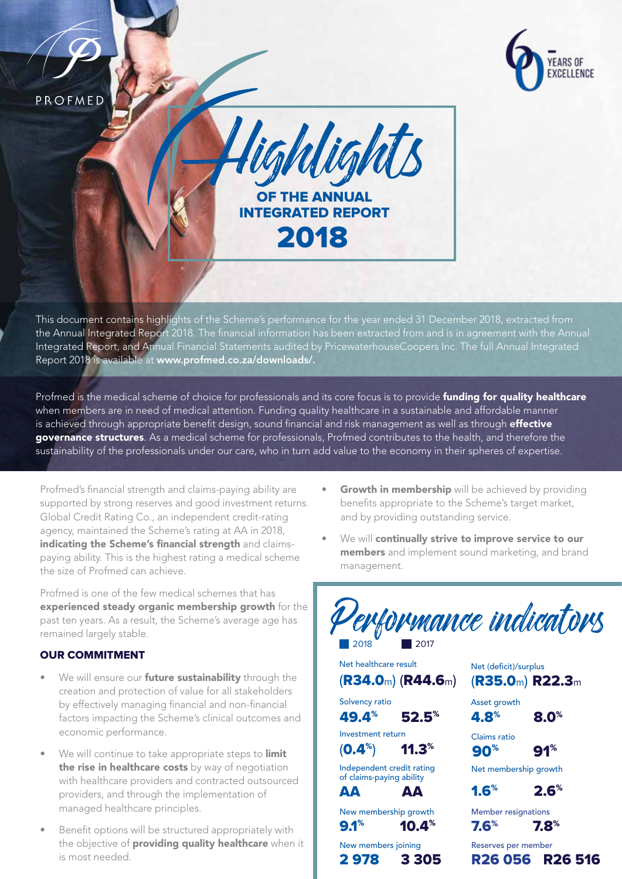

PROFMED

Highlights OF THE ANNUAL INTEGRATED REPORT 2018

This document contains highlights of the Scheme's performance for the year ended 31 December 2018, extracted from the Annual Integrated Report 2018. The financial information has been extracted from and is in agreement with the Annual Integrated Report, and Annual Financial Statements audited by PricewaterhouseCoopers Inc. The full Annual Integrated Report 2018 is available at www.profmed.co.za/downloads/.

Profmed is the medical scheme of choice for professionals and its core focus is to provide funding for quality healthcare when members are in need of medical attention. Funding quality healthcare in a sustainable and affordable manner is achieved through appropriate benefit design, sound financial and risk management as well as through effective governance structures. As a medical scheme for professionals, Profmed contributes to the health, and therefore the sustainability of the professionals under our care, who in turn add value to the economy in their spheres of expertise.

Profmed's financial strength and claims-paying ability are supported by strong reserves and good investment returns. Global Credit Rating Co., an independent credit-rating agency, maintained the Scheme's rating at AA in 2018, indicating the Scheme's financial strength and claimspaying ability. This is the highest rating a medical scheme the size of Profmed can achieve.

Profmed is one of the few medical schemes that has experienced steady organic membership growth for the past ten years. As a result, the Scheme's average age has remained largely stable.

### OUR COMMITMENT

- We will ensure our **future sustainability** through the creation and protection of value for all stakeholders by effectively managing financial and non-financial factors impacting the Scheme's clinical outcomes and economic performance.
- We will continue to take appropriate steps to *limit* the rise in healthcare costs by way of negotiation with healthcare providers and contracted outsourced providers, and through the implementation of managed healthcare principles.
- Benefit options will be structured appropriately with the objective of **providing quality healthcare** when it is most needed.
- **Growth in membership** will be achieved by providing benefits appropriate to the Scheme's target market, and by providing outstanding service.
- We will continually strive to improve service to our members and implement sound marketing, and brand management.



 $(R34.0<sub>m</sub>) (R44.6<sub>m</sub>)$ Net healthcare result Solvency ratio 49.4% 52.5% New membership growth Member resignations  $9.1^{\circ}$  10.4 $^{\circ}$ Investment return  $(0.4^{\%})$  11.3 Independent credit rating of claims-paying ability AA AA

2 978 3 305

 $1.6^{\%}$  2.6<sup>%</sup> Net membership growth Claims ratio 90% 91%

4.8% 8.0%

(R35.0m) R22.3<sup>m</sup>

Net (deficit)/surplus

Asset growth

 $7.6^{\%}$  7.8<sup>%</sup>

New members joining Reserves per member

R26 056 R26 516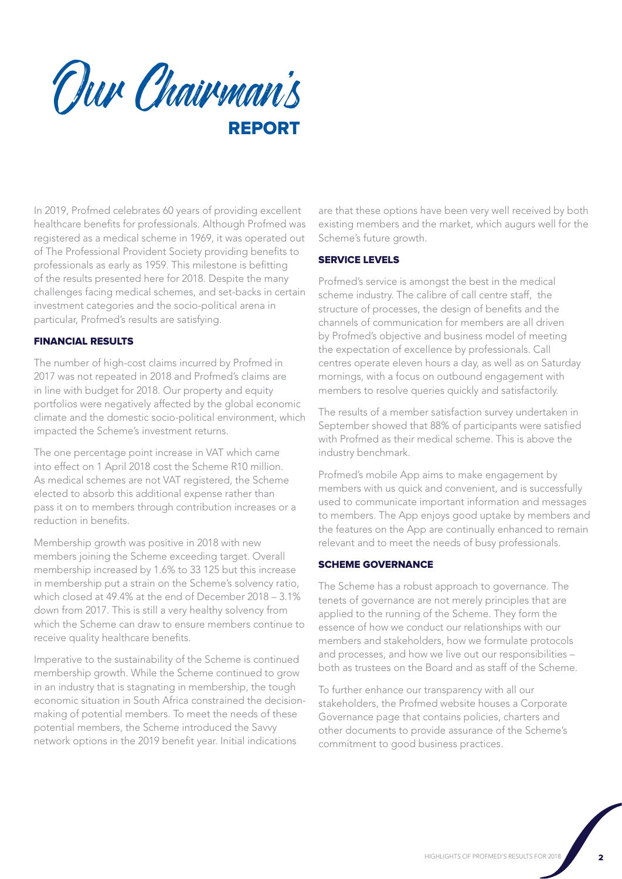Our Chairman's REPORT

In 2019, Profmed celebrates 60 years of providing excellent healthcare benefits for professionals. Although Profmed was registered as a medical scheme in 1969, it was operated out of The Professional Provident Society providing benefits to professionals as early as 1959. This milestone is befitting of the results presented here for 2018. Despite the many challenges facing medical schemes, and set-backs in certain investment categories and the socio-political arena in particular, Profmed's results are satisfying.

#### FINANCIAL RESULTS

The number of high-cost claims incurred by Profmed in 2017 was not repeated in 2018 and Profmed's claims are in line with budget for 2018. Our property and equity portfolios were negatively affected by the global economic climate and the domestic socio-political environment, which impacted the Scheme's investment returns.

The one percentage point increase in VAT which came into effect on 1 April 2018 cost the Scheme R10 million. As medical schemes are not VAT registered, the Scheme elected to absorb this additional expense rather than pass it on to members through contribution increases or a reduction in benefits.

Membership growth was positive in 2018 with new members joining the Scheme exceeding target. Overall membership increased by 1.6% to 33 125 but this increase in membership put a strain on the Scheme's solvency ratio, which closed at 49.4% at the end of December 2018 – 3.1% down from 2017. This is still a very healthy solvency from which the Scheme can draw to ensure members continue to receive quality healthcare benefits.

Imperative to the sustainability of the Scheme is continued membership growth. While the Scheme continued to grow in an industry that is stagnating in membership, the tough economic situation in South Africa constrained the decisionmaking of potential members. To meet the needs of these potential members, the Scheme introduced the Savvy network options in the 2019 benefit year. Initial indications

are that these options have been very well received by both existing members and the market, which augurs well for the Scheme's future growth.

### SERVICE LEVELS

Profmed's service is amongst the best in the medical scheme industry. The calibre of call centre staff, the structure of processes, the design of benefits and the channels of communication for members are all driven by Profmed's objective and business model of meeting the expectation of excellence by professionals. Call centres operate eleven hours a day, as well as on Saturday mornings, with a focus on outbound engagement with members to resolve queries quickly and satisfactorily.

The results of a member satisfaction survey undertaken in September showed that 88% of participants were satisfied with Profmed as their medical scheme. This is above the industry benchmark.

Profmed's mobile App aims to make engagement by members with us quick and convenient, and is successfully used to communicate important information and messages to members. The App enjoys good uptake by members and the features on the App are continually enhanced to remain relevant and to meet the needs of busy professionals.

### SCHEME GOVERNANCE

The Scheme has a robust approach to governance. The tenets of governance are not merely principles that are applied to the running of the Scheme. They form the essence of how we conduct our relationships with our members and stakeholders, how we formulate protocols and processes, and how we live out our responsibilities – both as trustees on the Board and as staff of the Scheme.

To further enhance our transparency with all our stakeholders, the Profmed website houses a Corporate Governance page that contains policies, charters and other documents to provide assurance of the Scheme's commitment to good business practices.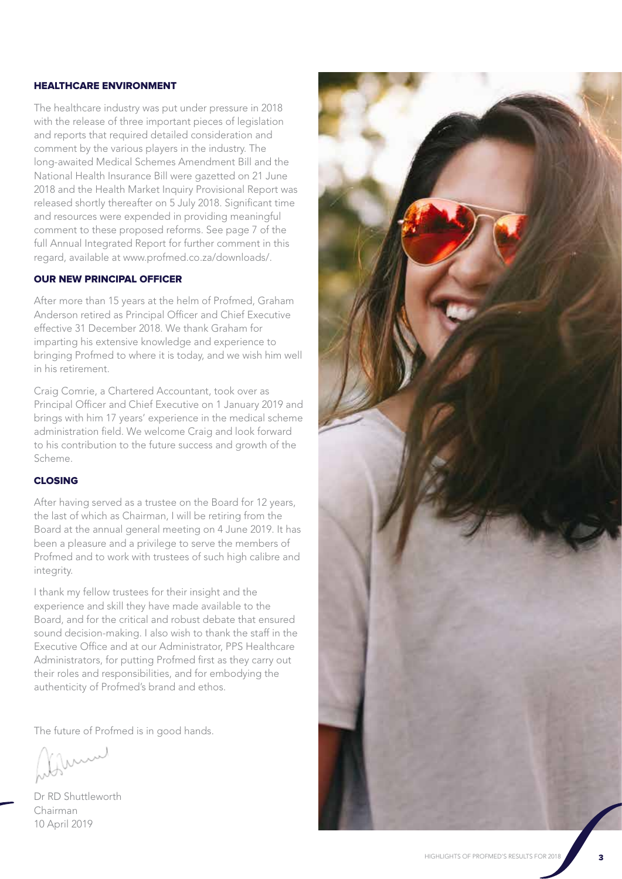#### HEALTHCARE ENVIRONMENT

The healthcare industry was put under pressure in 2018 with the release of three important pieces of legislation and reports that required detailed consideration and comment by the various players in the industry. The long-awaited Medical Schemes Amendment Bill and the National Health Insurance Bill were gazetted on 21 June 2018 and the Health Market Inquiry Provisional Report was released shortly thereafter on 5 July 2018. Significant time and resources were expended in providing meaningful comment to these proposed reforms. See page 7 of the full Annual Integrated Report for further comment in this regard, available at www.profmed.co.za/downloads/.

### OUR NEW PRINCIPAL OFFICER

After more than 15 years at the helm of Profmed, Graham Anderson retired as Principal Officer and Chief Executive effective 31 December 2018. We thank Graham for imparting his extensive knowledge and experience to bringing Profmed to where it is today, and we wish him well in his retirement.

Craig Comrie, a Chartered Accountant, took over as Principal Officer and Chief Executive on 1 January 2019 and brings with him 17 years' experience in the medical scheme administration field. We welcome Craig and look forward to his contribution to the future success and growth of the Scheme.

### CLOSING

After having served as a trustee on the Board for 12 years, the last of which as Chairman, I will be retiring from the Board at the annual general meeting on 4 June 2019. It has been a pleasure and a privilege to serve the members of Profmed and to work with trustees of such high calibre and integrity.

I thank my fellow trustees for their insight and the experience and skill they have made available to the Board, and for the critical and robust debate that ensured sound decision-making. I also wish to thank the staff in the Executive Office and at our Administrator, PPS Healthcare Administrators, for putting Profmed first as they carry out their roles and responsibilities, and for embodying the authenticity of Profmed's brand and ethos.

The future of Profmed is in good hands.

Dr RD Shuttleworth Chairman 10 April 2019

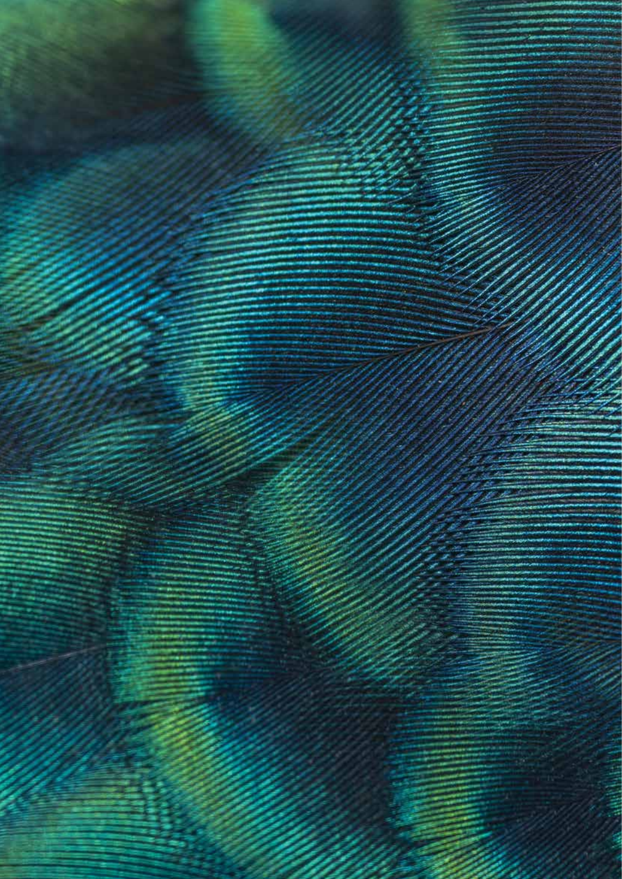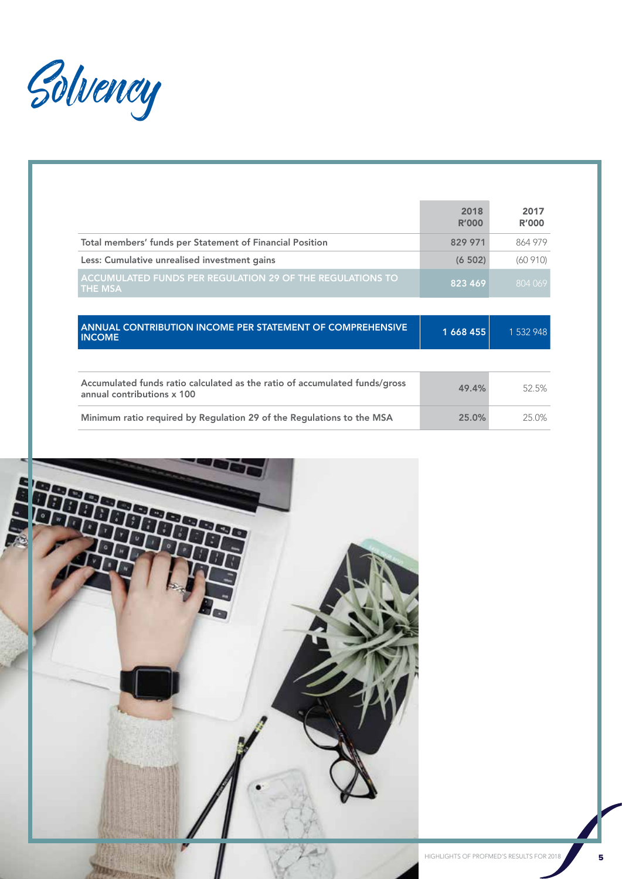Solvency

|                                                                                                          | 2018<br><b>R'000</b> | 2017<br><b>R'000</b> |
|----------------------------------------------------------------------------------------------------------|----------------------|----------------------|
| Total members' funds per Statement of Financial Position                                                 | 829 971              | 864 979              |
| Less: Cumulative unrealised investment gains                                                             | (6502)               | (60910)              |
| ACCUMULATED FUNDS PER REGULATION 29 OF THE REGULATIONS TO<br><b>THE MSA</b>                              | 823 469              | 804 069              |
|                                                                                                          |                      |                      |
| ANNUAL CONTRIBUTION INCOME PER STATEMENT OF COMPREHENSIVE<br><b>INCOME</b>                               | 1 668 455            | 1 532 948            |
| Accumulated funds ratio calculated as the ratio of accumulated funds/gross<br>annual contributions x 100 | 49.4%                | 52.5%                |

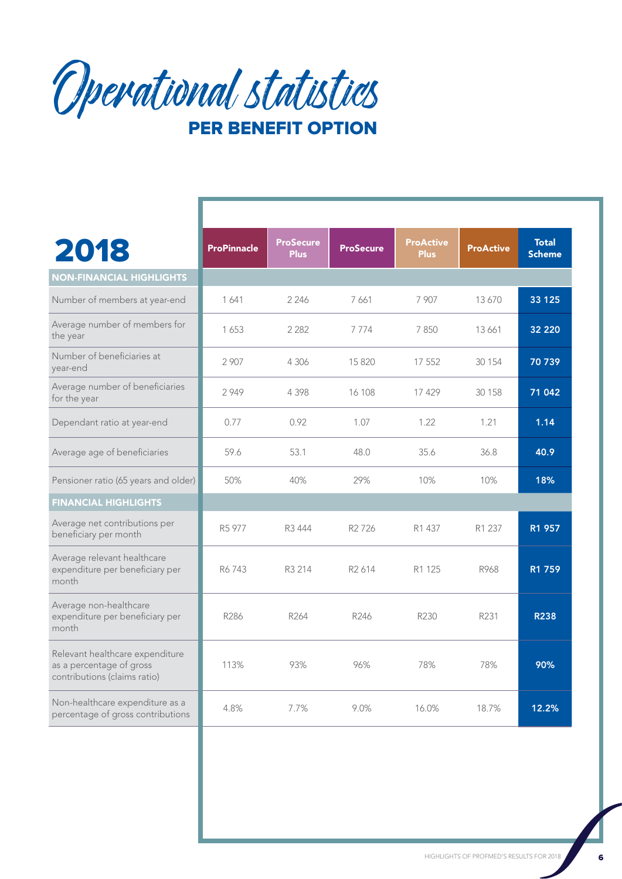Operational statistics PER BENEFIT OPTION

| 2018                                                                                        | <b>ProPinnacle</b> | <b>ProSecure</b><br><b>Plus</b> | <b>ProSecure</b>   | <b>ProActive</b><br><b>Plus</b> | <b>ProActive</b> | <b>Total</b><br><b>Scheme</b> |
|---------------------------------------------------------------------------------------------|--------------------|---------------------------------|--------------------|---------------------------------|------------------|-------------------------------|
| <b>NON-FINANCIAL HIGHLIGHTS</b>                                                             |                    |                                 |                    |                                 |                  |                               |
| Number of members at year-end                                                               | 1641               | 2 2 4 6                         | 7661               | 7 907                           | 13670            | 33 125                        |
| Average number of members for<br>the year                                                   | 1653               | 2 2 8 2                         | 7774               | 7850                            | 13661            | 32 220                        |
| Number of beneficiaries at<br>year-end                                                      | 2 907              | 4 3 0 6                         | 15820              | 17 552                          | 30 154           | 70739                         |
| Average number of beneficiaries<br>for the year                                             | 2949               | 4 3 9 8                         | 16 108             | 17 429                          | 30 158           | 71 042                        |
| Dependant ratio at year-end                                                                 | 0.77               | 0.92                            | 1.07               | 1.22                            | 1.21             | 1.14                          |
| Average age of beneficiaries                                                                | 59.6               | 53.1                            | 48.0               | 35.6                            | 36.8             | 40.9                          |
| Pensioner ratio (65 years and older)                                                        | 50%                | 40%                             | 29%                | 10%                             | 10%              | 18%                           |
| <b>FINANCIAL HIGHLIGHTS</b>                                                                 |                    |                                 |                    |                                 |                  |                               |
| Average net contributions per<br>beneficiary per month                                      | R5 977             | R3 444                          | R <sub>2</sub> 726 | R1 437                          | R1 237           | R1 957                        |
| Average relevant healthcare<br>expenditure per beneficiary per<br>month                     | R6743              | R3 214                          | R <sub>2</sub> 614 | R1 125                          | R968             | R1 759                        |
| Average non-healthcare<br>expenditure per beneficiary per<br>month                          | R286               | R <sub>264</sub>                | R246               | R230                            | R231             | <b>R238</b>                   |
| Relevant healthcare expenditure<br>as a percentage of gross<br>contributions (claims ratio) | 113%               | 93%                             | 96%                | 78%                             | 78%              | 90%                           |
| Non-healthcare expenditure as a<br>percentage of gross contributions                        | 4.8%               | 7.7%                            | 9.0%               | 16.0%                           | 18.7%            | 12.2%                         |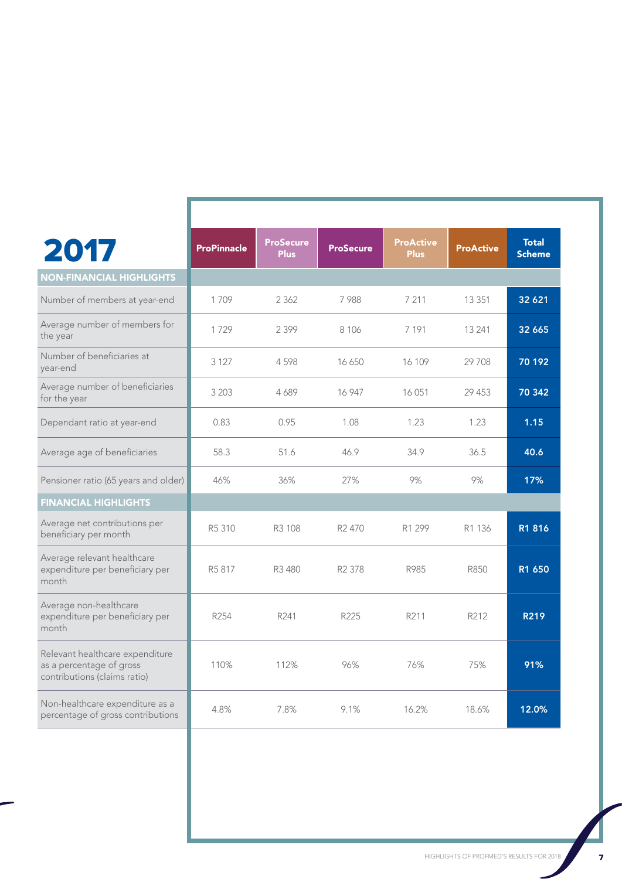| 2017                                                                                        | <b>ProPinnacle</b> | <b>ProSecure</b><br><b>Plus</b> | <b>ProSecure</b>   | <b>ProActive</b><br><b>Plus</b> | <b>ProActive</b> | <b>Total</b><br><b>Scheme</b> |
|---------------------------------------------------------------------------------------------|--------------------|---------------------------------|--------------------|---------------------------------|------------------|-------------------------------|
| <b>NON-FINANCIAL HIGHLIGHTS</b>                                                             |                    |                                 |                    |                                 |                  |                               |
| Number of members at year-end                                                               | 1709               | 2 3 6 2                         | 7988               | 7 211                           | 13 3 5 1         | 32 621                        |
| Average number of members for<br>the year                                                   | 1729               | 2 3 9 9                         | 8 1 0 6            | 7 1 9 1                         | 13 241           | 32 665                        |
| Number of beneficiaries at<br>year-end                                                      | 3 1 2 7            | 4598                            | 16 650             | 16 109                          | 29 708           | 70 192                        |
| Average number of beneficiaries<br>for the year                                             | 3 2 0 3            | 4689                            | 16 947             | 16 0 51                         | 29 453           | 70 342                        |
| Dependant ratio at year-end                                                                 | 0.83               | 0.95                            | 1.08               | 1.23                            | 1.23             | 1.15                          |
| Average age of beneficiaries                                                                | 58.3               | 51.6                            | 46.9               | 34.9                            | 36.5             | 40.6                          |
| Pensioner ratio (65 years and older)                                                        | 46%                | 36%                             | 27%                | 9%                              | 9%               | 17%                           |
| <b>FINANCIAL HIGHLIGHTS</b>                                                                 |                    |                                 |                    |                                 |                  |                               |
| Average net contributions per<br>beneficiary per month                                      | R5 310             | R3 108                          | R <sub>2470</sub>  | R1 299                          | R1 136           | R1 816                        |
| Average relevant healthcare<br>expenditure per beneficiary per<br>month                     | R5817              | R <sub>3</sub> 480              | R <sub>2</sub> 378 | R985                            | R850             | R1 650                        |
| Average non-healthcare<br>expenditure per beneficiary per<br>month                          | R254               | R241                            | R225               | R211                            | R212             | <b>R219</b>                   |
| Relevant healthcare expenditure<br>as a percentage of gross<br>contributions (claims ratio) | 110%               | 112%                            | 96%                | 76%                             | 75%              | 91%                           |
| Non-healthcare expenditure as a<br>percentage of gross contributions                        | 4.8%               | 7.8%                            | 9.1%               | 16.2%                           | 18.6%            | 12.0%                         |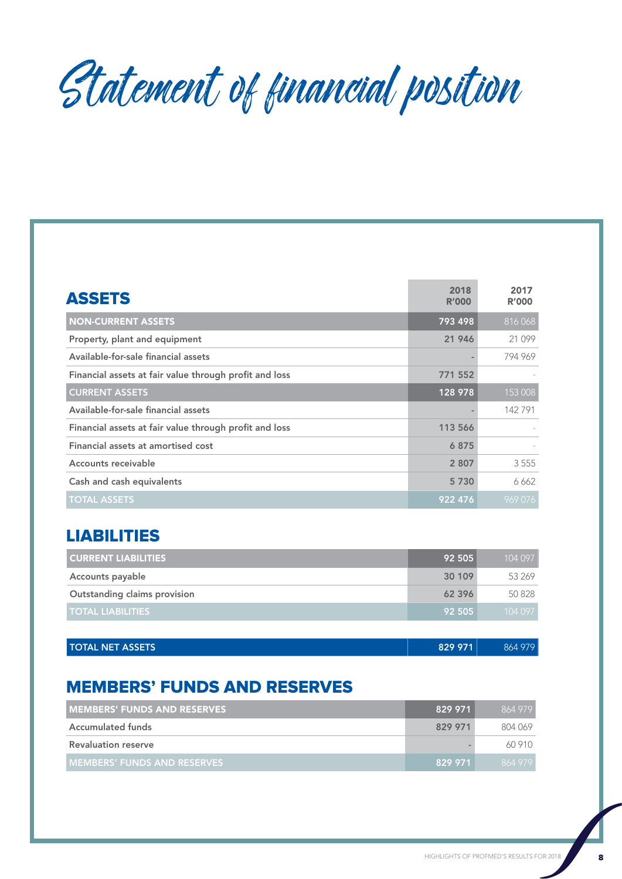Statement of financial position

| <b>ASSETS</b>                                          | 2018<br><b>R'000</b> | 2017<br><b>R'000</b> |
|--------------------------------------------------------|----------------------|----------------------|
| <b>NON-CURRENT ASSETS</b>                              | 793 498              | 816 068              |
| Property, plant and equipment                          | 21 946               | 21 099               |
| Available-for-sale financial assets                    |                      | 794 969              |
| Financial assets at fair value through profit and loss | 771 552              |                      |
| <b>CURRENT ASSETS</b>                                  | 128 978              | 153 008              |
| Available-for-sale financial assets                    |                      | 142791               |
| Financial assets at fair value through profit and loss | 113 566              |                      |
| Financial assets at amortised cost                     | 6875                 |                      |
| Accounts receivable                                    | 2 8 0 7              | 3 5 5 5              |
| Cash and cash equivalents                              | 5730                 | 6662                 |
| <b>TOTAL ASSETS</b>                                    | 922 476              | 969 076              |

## LIABILITIES

| <b>CURRENT LIABILITIES</b>          | 92 505 | 104 097 |
|-------------------------------------|--------|---------|
| Accounts payable                    | 30 109 | 53 269  |
| <b>Outstanding claims provision</b> | 62 396 | 50 828  |
| I TOTAL LIABILITIES                 | 92 505 | 104 097 |

|  | <b>TOTAL NET ASSETS</b> | 829 971 | 1979 |
|--|-------------------------|---------|------|
|--|-------------------------|---------|------|

# MEMBERS' FUNDS AND RESERVES

| I MEMBERS' FUNDS AND RESERVES       | 829 971 | 864 979 1 |
|-------------------------------------|---------|-----------|
| <b>Accumulated funds</b>            | 829 971 | 804 069   |
| <b>Revaluation reserve</b>          |         | 60.910    |
| <b>IMEMBERS' FUNDS AND RESERVES</b> | 829 971 | 864 979   |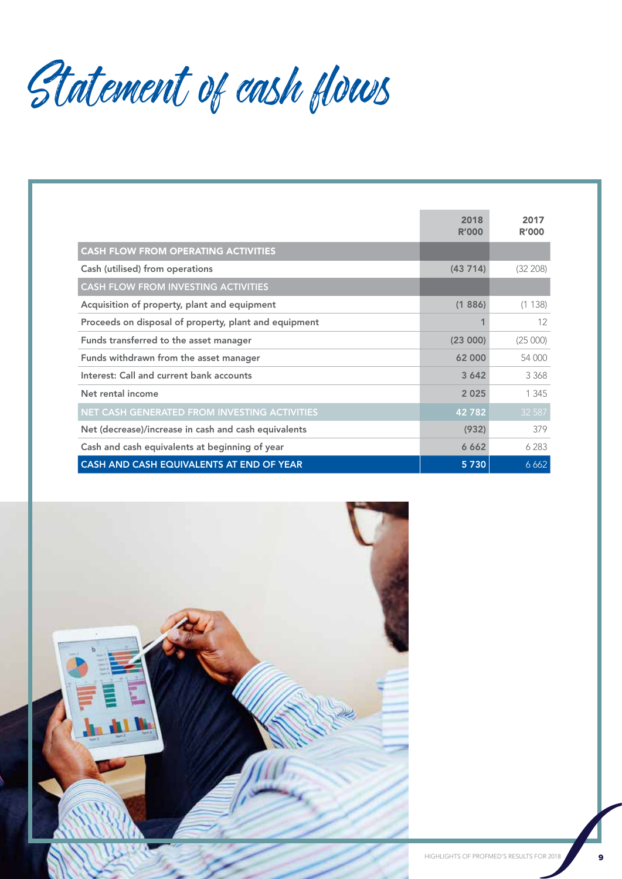Statement of cash flows

|                                                       | 2018<br><b>R'000</b> | 2017<br><b>R'000</b> |
|-------------------------------------------------------|----------------------|----------------------|
| <b>CASH FLOW FROM OPERATING ACTIVITIES</b>            |                      |                      |
| Cash (utilised) from operations                       | (43714)              | (32 208)             |
| <b>CASH FLOW FROM INVESTING ACTIVITIES</b>            |                      |                      |
| Acquisition of property, plant and equipment          | (1886)               | (1138)               |
| Proceeds on disposal of property, plant and equipment |                      | 12                   |
| Funds transferred to the asset manager                | (23 000)             | (25000)              |
| Funds withdrawn from the asset manager                | 62 000               | 54 000               |
| Interest: Call and current bank accounts              | 3 6 4 2              | 3 3 6 8              |
| Net rental income                                     | 2025                 | 1 3 4 5              |
| NET CASH GENERATED FROM INVESTING ACTIVITIES          | 42782                | 32 587               |
| Net (decrease)/increase in cash and cash equivalents  | (932)                | 379                  |
| Cash and cash equivalents at beginning of year        | 6 6 6 2              | 6 2 8 3              |
| CASH AND CASH EQUIVALENTS AT END OF YEAR              | 5730                 | 6 6 6 2              |

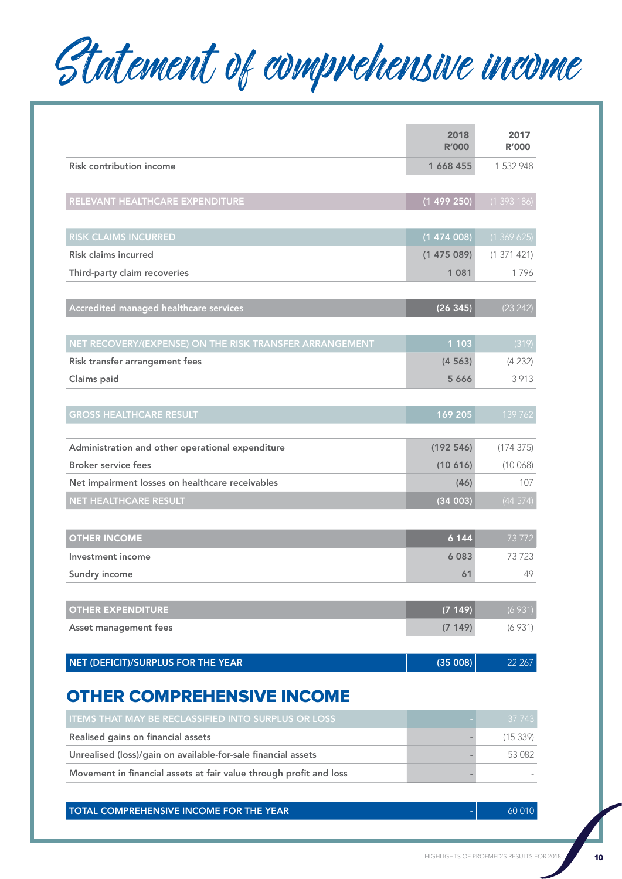Statement of comprehensive income

|                                                         | 2018<br><b>R'000</b> | 2017<br><b>R'000</b> |
|---------------------------------------------------------|----------------------|----------------------|
| <b>Risk contribution income</b>                         | 1 668 455            | 1 532 948            |
|                                                         |                      |                      |
| RELEVANT HEALTHCARE EXPENDITURE                         | (1499250)            | (1393186)            |
|                                                         |                      |                      |
| <b>RISK CLAIMS INCURRED</b>                             | (1474008)            | $(1\,369\,625)$      |
| Risk claims incurred                                    | (1475089)            | (1371421)            |
| Third-party claim recoveries                            | 1 0 8 1              | 1796                 |
|                                                         |                      |                      |
| Accredited managed healthcare services                  | (26345)              | (23 242)             |
|                                                         |                      |                      |
| NET RECOVERY/(EXPENSE) ON THE RISK TRANSFER ARRANGEMENT | 1 1 0 3              | (319)                |
| Risk transfer arrangement fees                          | (4563)               | (4232)               |
| Claims paid                                             | 5 6 6 6              | 3913                 |
|                                                         |                      |                      |
| <b>GROSS HEALTHCARE RESULT</b>                          | 169 205              | 139762               |
|                                                         |                      |                      |
| Administration and other operational expenditure        | (192546)             | (174375)             |
| <b>Broker service fees</b>                              | (10616)              | (10068)              |
| Net impairment losses on healthcare receivables         | (46)                 | 107                  |
| <b>NET HEALTHCARE RESULT</b>                            | (34003)              | (44574)              |
|                                                         |                      |                      |
| <b>OTHER INCOME</b>                                     | 6 1 4 4              | 73772                |
| Investment income                                       | 6 0 8 3              | 73723                |
| Sundry income                                           | 61                   | 49                   |
|                                                         |                      |                      |
| <b>OTHER EXPENDITURE</b>                                | (7149)               | (6931)               |
| Asset management fees                                   | (7149)               | (6931)               |
|                                                         |                      |                      |

| NET (DEFICIT)/SURPLUS FOR THE YEAR | (35008) | 22 267 |
|------------------------------------|---------|--------|
|                                    |         |        |

## OTHER COMPREHENSIVE INCOME

| l ITEMS THAT MAY BE RECLASSIFIED INTO SURPLUS OR LOSS              | 37 743  |
|--------------------------------------------------------------------|---------|
| Realised gains on financial assets                                 | (15339) |
| Unrealised (loss)/gain on available-for-sale financial assets      | 53 082  |
| Movement in financial assets at fair value through profit and loss |         |

TOTAL COMPREHENSIVE INCOME FOR THE YEAR **ALCOME FOR THE YEAR FOR THE YEAR**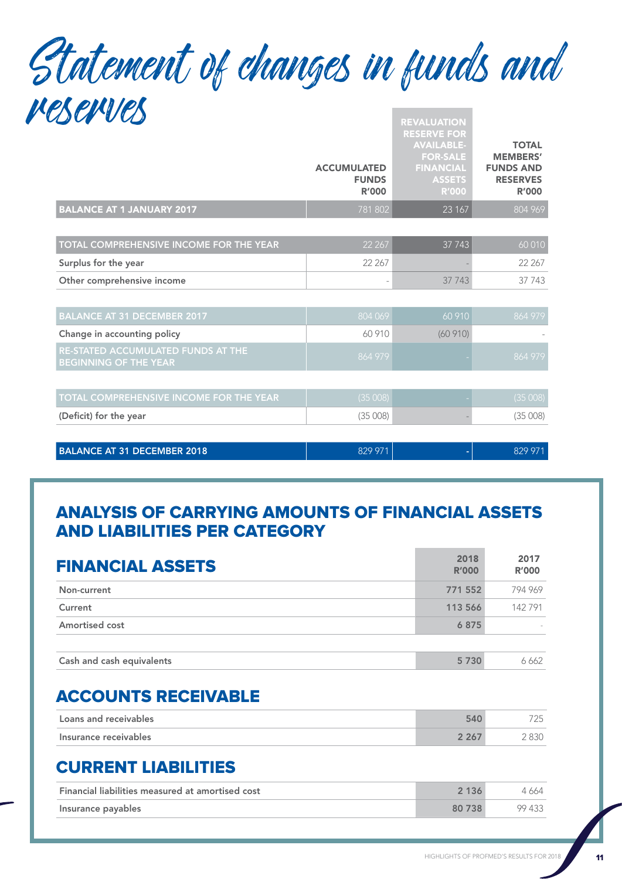Statement of changes in funds and

| ro v vo                                                            | <b>ACCUMULATED</b><br><b>FUNDS</b><br><b>R'000</b> | REVALUATION<br><b>RESERVE FOR</b><br><b>AVAILABLE-</b><br><b>FOR-SALE</b><br><b>FINANCIAL</b><br><b>ASSETS</b><br><b>R'000</b> | <b>TOTAL</b><br><b>MEMBERS'</b><br><b>FUNDS AND</b><br><b>RESERVES</b><br><b>R'000</b> |
|--------------------------------------------------------------------|----------------------------------------------------|--------------------------------------------------------------------------------------------------------------------------------|----------------------------------------------------------------------------------------|
| <b>BALANCE AT 1 JANUARY 2017</b>                                   | 781 802                                            | 23 167                                                                                                                         | 804 969                                                                                |
|                                                                    |                                                    |                                                                                                                                |                                                                                        |
| TOTAL COMPREHENSIVE INCOME FOR THE YEAR                            | 22 267                                             | 37 743                                                                                                                         | 60 010                                                                                 |
| Surplus for the year                                               | 22 267                                             |                                                                                                                                | 22 267                                                                                 |
| Other comprehensive income                                         | $\qquad \qquad -$                                  | 37 743                                                                                                                         | 37 7 43                                                                                |
|                                                                    |                                                    |                                                                                                                                |                                                                                        |
| <b>BALANCE AT 31 DECEMBER 2017</b>                                 | 804 069                                            | 60 910                                                                                                                         | 864 979                                                                                |
| Change in accounting policy                                        | 60 910                                             | (60910)                                                                                                                        |                                                                                        |
| RE-STATED ACCUMULATED FUNDS AT THE<br><b>BEGINNING OF THE YEAR</b> | 864 979                                            |                                                                                                                                | 864 979                                                                                |
|                                                                    |                                                    |                                                                                                                                |                                                                                        |
| TOTAL COMPREHENSIVE INCOME FOR THE YEAR                            | (35008)                                            |                                                                                                                                | (35008)                                                                                |
| (Deficit) for the year                                             | (35008)                                            |                                                                                                                                | (35008)                                                                                |
|                                                                    |                                                    |                                                                                                                                |                                                                                        |
| <b>BALANCE AT 31 DECEMBER 2018</b>                                 | 829 971                                            | $\sim$                                                                                                                         | 829 971                                                                                |

## ANALYSIS OF CARRYING AMOUNTS OF FINANCIAL ASSETS AND LIABILITIES PER CATEGORY

| <b>FINANCIAL ASSETS</b>   | 2018<br><b>R'000</b> | 2017<br><b>R'000</b> |
|---------------------------|----------------------|----------------------|
| Non-current               | 771 552              | 794 969              |
| Current                   | 113 566              | 142791               |
| <b>Amortised cost</b>     | 6875                 |                      |
|                           |                      |                      |
| Cash and cash equivalents | 5 7 3 0              | 6662                 |

# ACCOUNTS RECEIVABLE

| Loans and receivables |  |
|-----------------------|--|
| Insurance receivables |  |

# CURRENT LIABILITIES

| Financial liabilities measured at amortised cost | 2 1 3 6 | 4 664  |
|--------------------------------------------------|---------|--------|
| Insurance payables                               | 80 738  | 99 433 |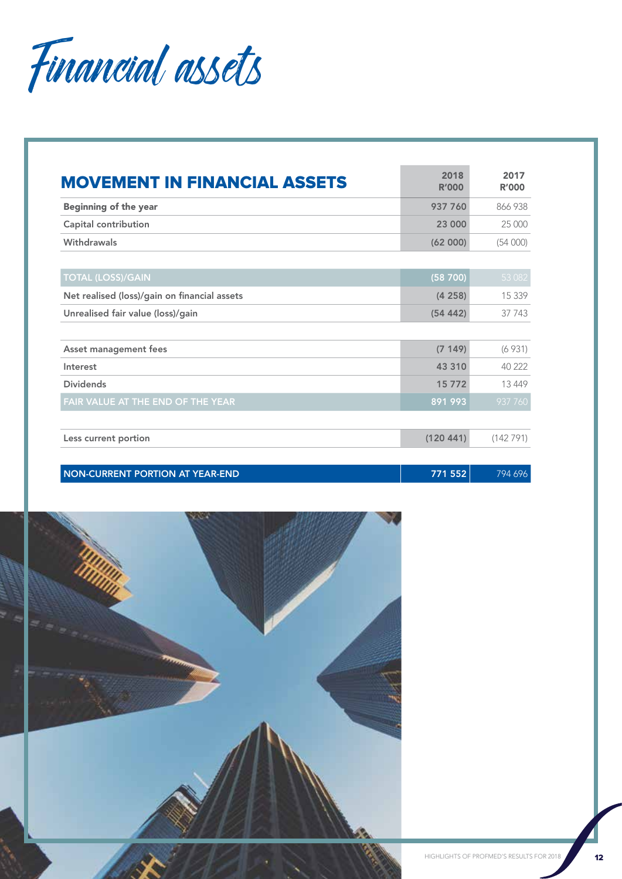

| <b>MOVEMENT IN FINANCIAL ASSETS</b>          | 2018<br><b>R'000</b> | 2017<br><b>R'000</b> |
|----------------------------------------------|----------------------|----------------------|
| <b>Beginning of the year</b>                 | 937 760              | 866 938              |
| Capital contribution                         | 23 000               | 25 000               |
| Withdrawals                                  | (62 000)             | (54000)              |
|                                              |                      |                      |
| <b>TOTAL (LOSS)/GAIN</b>                     | (58700)              | 53 082               |
| Net realised (loss)/gain on financial assets | (4258)               | 15 3 39              |
| Unrealised fair value (loss)/gain            | (54 442)             | 37 743               |
|                                              |                      |                      |
| Asset management fees                        | (7149)               | (6931)               |
| Interest                                     | 43 310               | 40 222               |
| <b>Dividends</b>                             | 15 7 7 2             | 13 4 4 9             |
| FAIR VALUE AT THE END OF THE YEAR            | 891 993              | 937 760              |
|                                              |                      |                      |
| Less current portion                         | (120 441)            | (142791)             |
|                                              |                      |                      |

NON-CURRENT PORTION AT YEAR-END **1994 100 NON-CURRENT PORTION AT YEAR-END** 



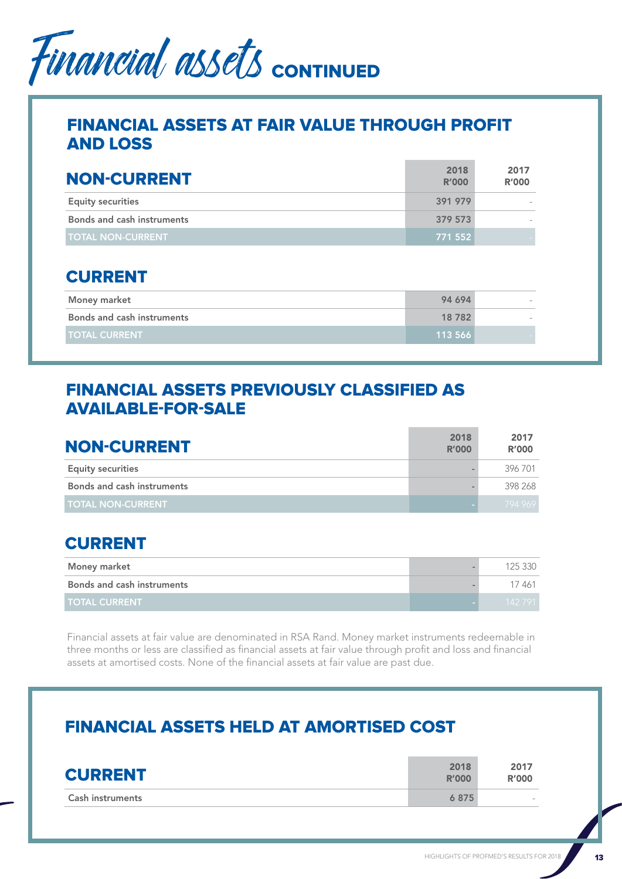

## FINANCIAL ASSETS AT FAIR VALUE THROUGH PROFIT AND LOSS

| <b>NON-CURRENT</b>                | 2018<br><b>R'000</b> | 2017<br><b>R'000</b> |
|-----------------------------------|----------------------|----------------------|
| <b>Equity securities</b>          | 391 979              |                      |
| <b>Bonds and cash instruments</b> | 379 573              |                      |
| <b>I TOTAL NON-CURRENT</b>        | 771 552              |                      |

## CURRENT

| Money market                      | 94 694   | $\sim$                   |
|-----------------------------------|----------|--------------------------|
| <b>Bonds and cash instruments</b> | 18 7 8 2 | $\overline{\phantom{a}}$ |
| <b>I TOTAL CURRENT</b>            | 113 566  |                          |

## FINANCIAL ASSETS PREVIOUSLY CLASSIFIED AS AVAILABLE-FOR-SALE

| <b>NON-CURRENT</b>         | 2018<br><b>R'000</b> | 2017<br><b>R'000</b> |
|----------------------------|----------------------|----------------------|
| <b>Equity securities</b>   |                      | 396 701              |
| Bonds and cash instruments |                      | 398 268              |
| <b>TOTAL NON-CURRENT</b>   |                      | 794 969              |

# CURRENT

| Money market               | 125 330 |
|----------------------------|---------|
| Bonds and cash instruments | 7 461   |
| <b>TOTAL CURRENT</b>       | 142 791 |

Financial assets at fair value are denominated in RSA Rand. Money market instruments redeemable in three months or less are classified as financial assets at fair value through profit and loss and financial assets at amortised costs. None of the financial assets at fair value are past due.

# FINANCIAL ASSETS HELD AT AMORTISED COST

| <b>CURRENT</b>   | 2018<br><b>R'000</b> | 2017<br><b>R'000</b> |
|------------------|----------------------|----------------------|
| Cash instruments | 6875                 | $\sim$               |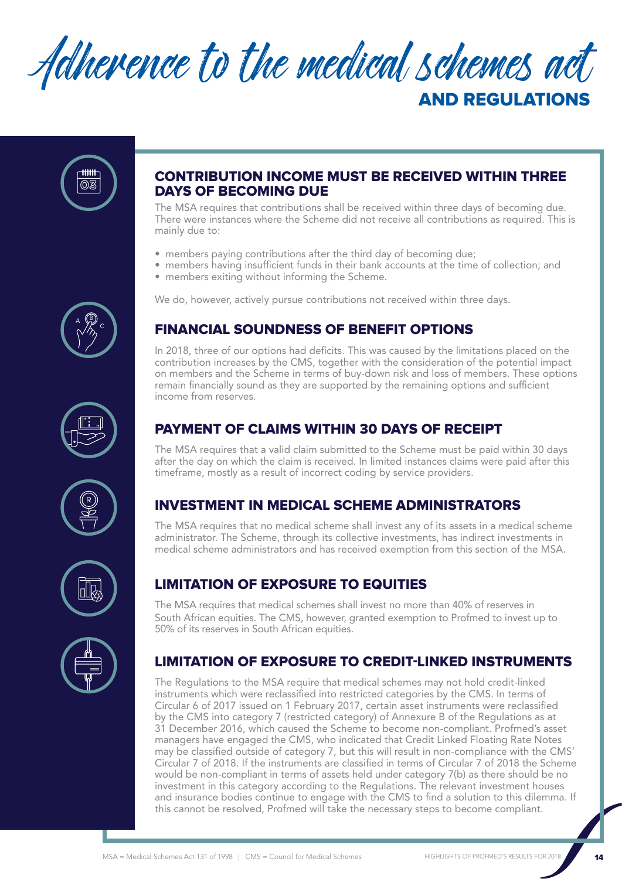

 $\overline{\circ}$ 

B  $\frac{A}{c}$   $\frac{D}{C}$ 

### CONTRIBUTION INCOME MUST BE RECEIVED WITHIN THREE DAYS OF BECOMING DUE

The MSA requires that contributions shall be received within three days of becoming due. There were instances where the Scheme did not receive all contributions as required. This is mainly due to:

- members paying contributions after the third day of becoming due;
- members having insufficient funds in their bank accounts at the time of collection; and
- members exiting without informing the Scheme.

We do, however, actively pursue contributions not received within three days.

### FINANCIAL SOUNDNESS OF BENEFIT OPTIONS

In 2018, three of our options had deficits. This was caused by the limitations placed on the contribution increases by the CMS, together with the consideration of the potential impact on members and the Scheme in terms of buy-down risk and loss of members. These options remain financially sound as they are supported by the remaining options and sufficient income from reserves.

## PAYMENT OF CLAIMS WITHIN 30 DAYS OF RECEIPT

The MSA requires that a valid claim submitted to the Scheme must be paid within 30 days after the day on which the claim is received. In limited instances claims were paid after this timeframe, mostly as a result of incorrect coding by service providers.

## INVESTMENT IN MEDICAL SCHEME ADMINISTRATORS

The MSA requires that no medical scheme shall invest any of its assets in a medical scheme administrator. The Scheme, through its collective investments, has indirect investments in medical scheme administrators and has received exemption from this section of the MSA.





### LIMITATION OF EXPOSURE TO EQUITIES

The MSA requires that medical schemes shall invest no more than 40% of reserves in South African equities. The CMS, however, granted exemption to Profmed to invest up to 50% of its reserves in South African equities.

### LIMITATION OF EXPOSURE TO CREDIT-LINKED INSTRUMENTS

The Regulations to the MSA require that medical schemes may not hold credit-linked instruments which were reclassified into restricted categories by the CMS. In terms of Circular 6 of 2017 issued on 1 February 2017, certain asset instruments were reclassified by the CMS into category 7 (restricted category) of Annexure B of the Regulations as at 31 December 2016, which caused the Scheme to become non-compliant. Profmed's asset managers have engaged the CMS, who indicated that Credit Linked Floating Rate Notes may be classified outside of category 7, but this will result in non-compliance with the CMS' Circular 7 of 2018. If the instruments are classified in terms of Circular 7 of 2018 the Scheme would be non-compliant in terms of assets held under category 7(b) as there should be no investment in this category according to the Regulations. The relevant investment houses and insurance bodies continue to engage with the CMS to find a solution to this dilemma. If this cannot be resolved, Profmed will take the necessary steps to become compliant.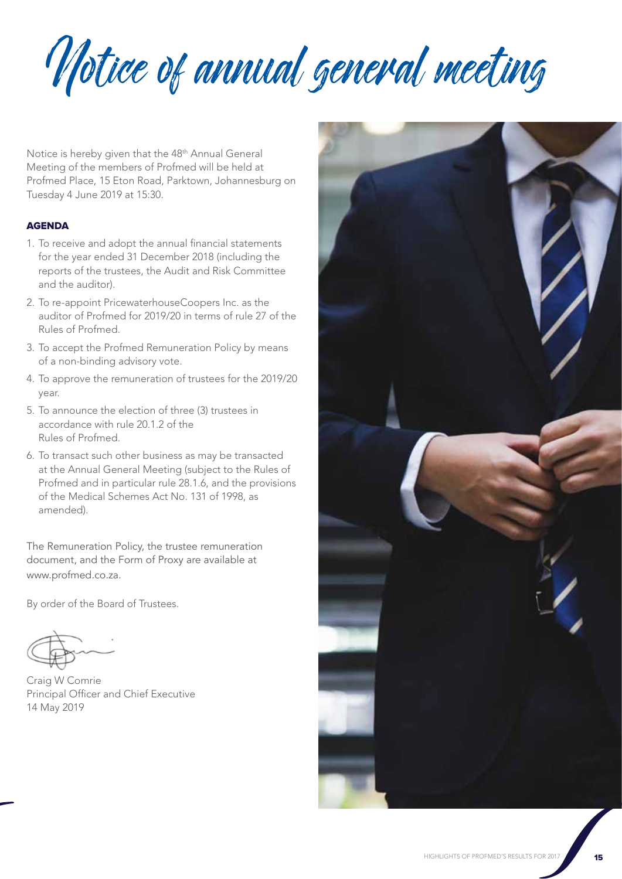Wotice of annual general meeting

Notice is hereby given that the 48<sup>th</sup> Annual General Meeting of the members of Profmed will be held at Profmed Place, 15 Eton Road, Parktown, Johannesburg on Tuesday 4 June 2019 at 15:30.

### **AGENDA**

- 1. To receive and adopt the annual financial statements for the year ended 31 December 2018 (including the reports of the trustees, the Audit and Risk Committee and the auditor).
- 2. To re-appoint PricewaterhouseCoopers Inc. as the auditor of Profmed for 2019/20 in terms of rule 27 of the Rules of Profmed.
- 3. To accept the Profmed Remuneration Policy by means of a non-binding advisory vote.
- 4. To approve the remuneration of trustees for the 2019/20 year.
- 5. To announce the election of three (3) trustees in accordance with rule 20.1.2 of the Rules of Profmed.
- 6. To transact such other business as may be transacted at the Annual General Meeting (subject to the Rules of Profmed and in particular rule 28.1.6, and the provisions of the Medical Schemes Act No. 131 of 1998, as amended).

The Remuneration Policy, the trustee remuneration document, and the Form of Proxy are available at www.profmed.co.za.

By order of the Board of Trustees.

Craig W Comrie Principal Officer and Chief Executive 14 May 2019